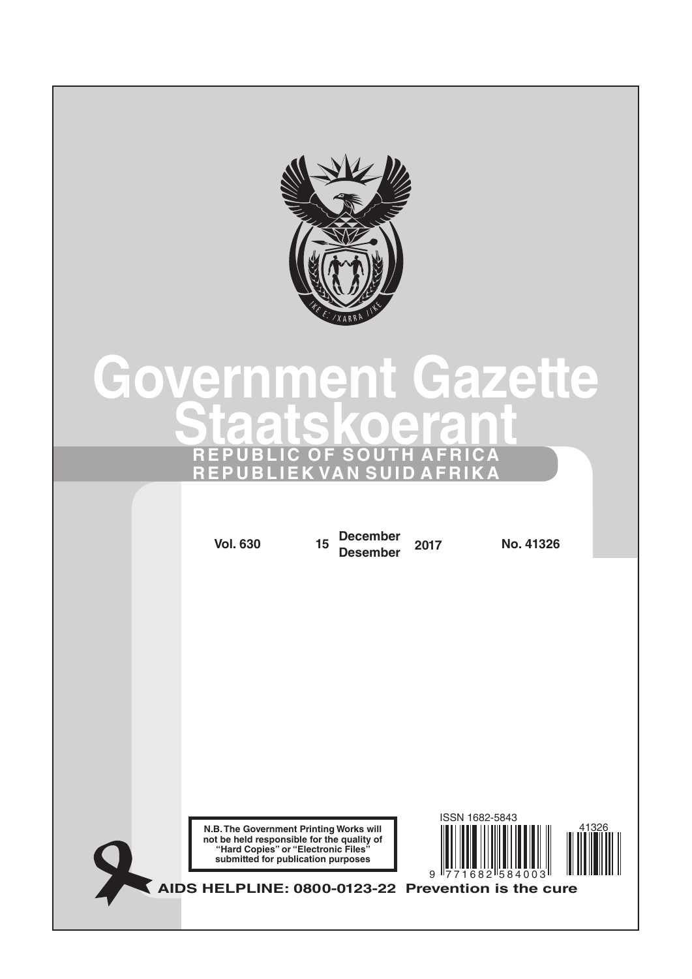

# **Government Gazette Staatskoerant REPUBLIC OF SOUTH AFRICA REPUBLIEK VAN SUID AFRIKA**

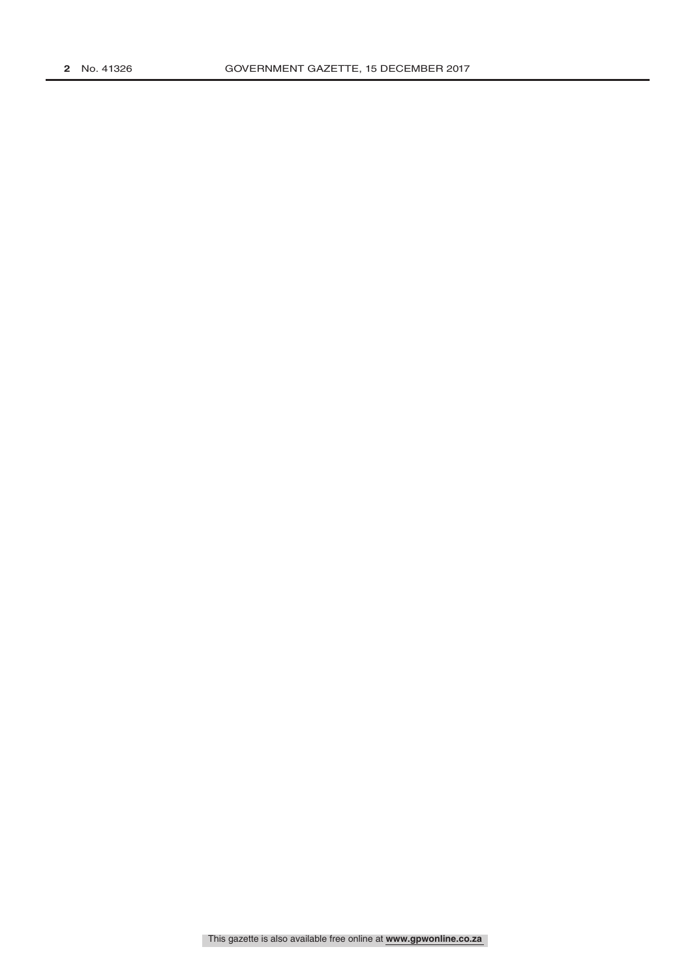This gazette is also available free online at **www.gpwonline.co.za**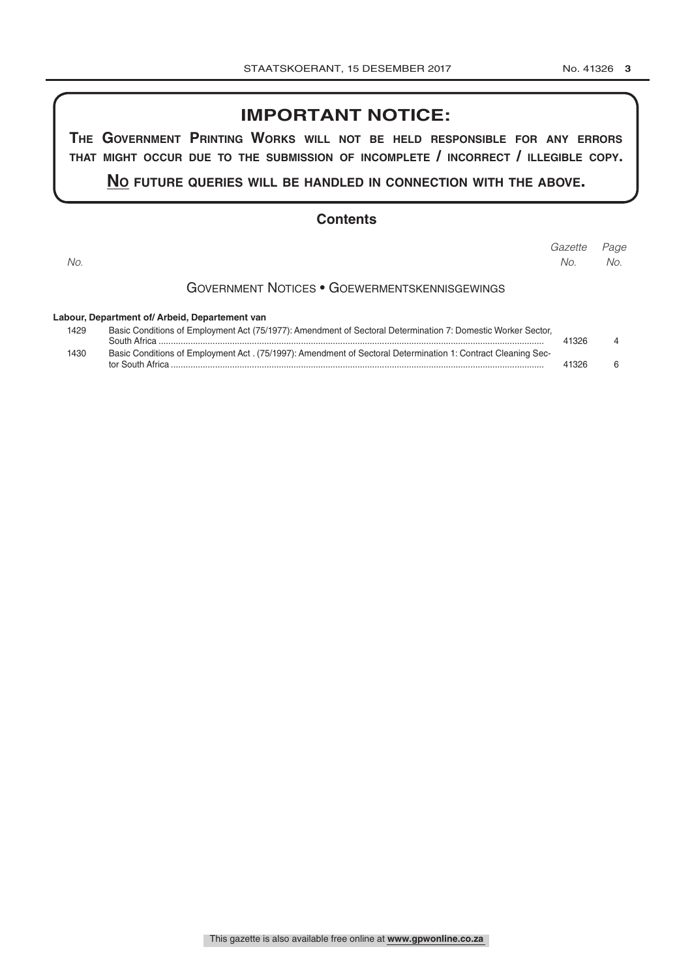# **IMPORTANT NOTICE:**

**The GovernmenT PrinTinG Works Will noT be held resPonsible for any errors ThaT miGhT occur due To The submission of incomPleTe / incorrecT / illeGible coPy.**

#### **no fuTure queries Will be handled in connecTion WiTh The above.**

#### **Contents**

Government Notices • Goewermentskennisgewings **Labour, Department of/ Arbeid, Departement van** 1429 Basic Conditions of Employment Act (75/1977): Amendment of Sectoral Determination 7: Domestic Worker Sector, South Africa ............................................................................................................................................................. 41326 4 1430 Basic Conditions of Employment Act . (75/1997): Amendment of Sectoral Determination 1: Contract Cleaning Sector South Africa ........................................................................................................................................................ 41326 6 *Page Gazette No. No. No.*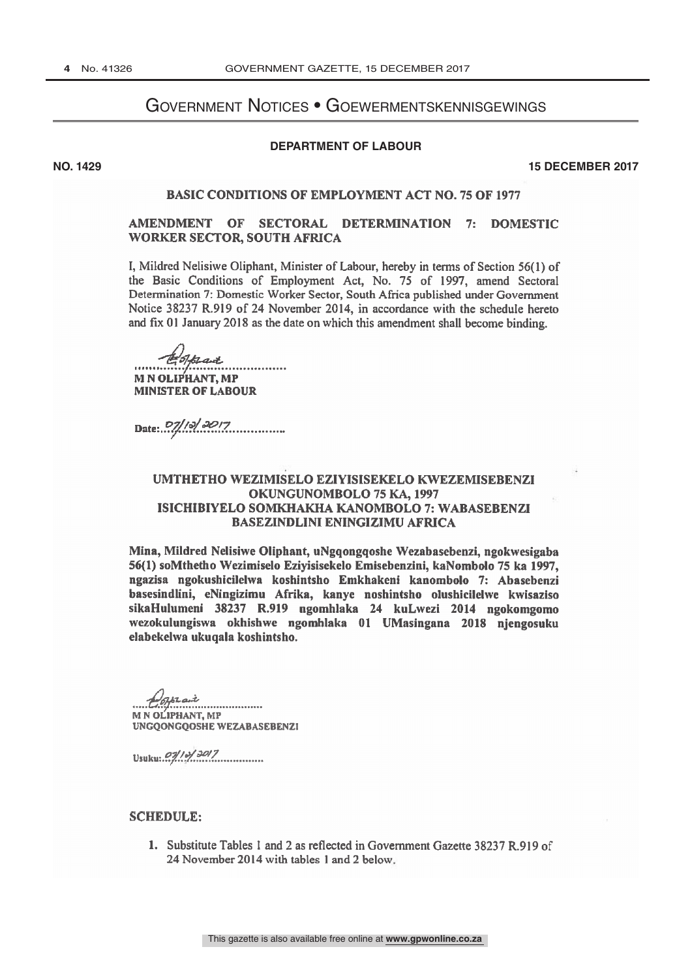## Government Notices • Goewermentskennisgewings

#### **DEPARTMENT OF LABOUR**

No. R. Date: **NO. 1429 15 DECEMBER 2017** 

#### BASIC CONDITIONS OF EMPLOYMENT ACT NO.75 OF 1977

#### AMENDMENT OF SECTORAL DETERMINATION 7: DOMESTIC WORKER SECTOR, SOUTH AFRICA

I, Mildred Nelisiwe Oliphant, Minister of Labour, hereby in terms of Section 56(1) of the Basic Conditions of Employment Act, No. 75 of 1997, amend Sectoral Determination 7: Domestic Worker Sector, South Africa published under Government Notice 38237 R.919 of 24 November 2014, in accordance with the schedule hereto and fix 01 January 2018 as the date on which this amendment shall become binding.

E. Spain M N OLIPHANT, MP MINISTER OF LABOUR

Date: 07/12/2017

#### UMTHETHO WEZIMISELO EZIYISISEKELO KWEZEMISEBENZI OKUNGUNOMBOLO 75 KA, 1997 ISICHIBIYELO SOMKHAKHA KANOMBOLO 7: WABASEBENZI BASEZINDLINI ENINGIZIMU AFRICA

Mina, Mildred Nelisiwe Oliphant, uNgqongqoshe Wezabasebenzi, ngokwesigaba 56(1) soMthetho Wezimiselo Eziyisisekelo Emisebenzini, kallombolo 75 ka 1997, ngazisa ngokushicilelwa koshintsho Emkhakeni kanombolo 7: Abasebenzi basesindlini, eNingizimu Afrika, kanye noshintsho olushicilelwe kwisaziso sikaHulumeni 38237 R.919 ngomhlaka 24 kuLwezi 2014 ngokomgomo wezokulungiswa okhishwe ngomhlaka 01 UMasingana 2018 njengosuku elabekelwa ukuqala koshintsho.

to offence in communication M N OLIPHANT, MP UNGQONGQOSHE WEZABASEBENZI

Usuku:  $07/67/3017$ 

#### **SCHEDULE:**

1. Substitute Tables 1 and 2 as reflected in Government Gazette 38237 R.919 of 24 November 2014 with tables 1 and 2 below.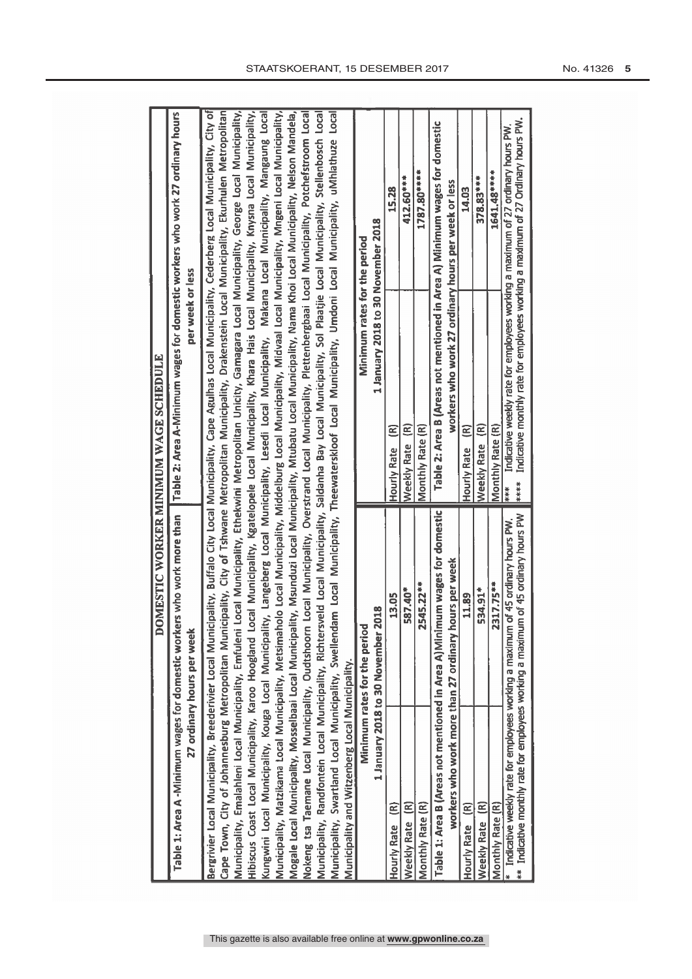|                                                       |                                                                                                                                                                       | DOMESTIC WORKER MINIMUM WAGE SCHEDULE                                                                                                                                                                                                                                                                                                 |              |
|-------------------------------------------------------|-----------------------------------------------------------------------------------------------------------------------------------------------------------------------|---------------------------------------------------------------------------------------------------------------------------------------------------------------------------------------------------------------------------------------------------------------------------------------------------------------------------------------|--------------|
|                                                       | Table 1: Area A -Minimum wages for domestic workers who work more than                                                                                                | Table 2: Area A-Minimum wages for domestic workers who work 27 ordinary hours<br>per week or less                                                                                                                                                                                                                                     |              |
|                                                       | 27 ordinary hours per weel                                                                                                                                            |                                                                                                                                                                                                                                                                                                                                       |              |
| Bergrivier Local Municipality, Breederivier Local Mun |                                                                                                                                                                       | iicipality, Buffalo City Local Municipality, Cape Agulhas Local Municipality, Cederberg Local Municipality, City of                                                                                                                                                                                                                   |              |
|                                                       |                                                                                                                                                                       | Cape Town, City of Johannesburg Metropolitan Municipality, City of Tshwane Metropolitan Municipality, Drakenstein Local Municipality, Ekurhulen Metropolitan                                                                                                                                                                          |              |
|                                                       |                                                                                                                                                                       | Municipality, Emalahleni Local Municipality, Emfuleni Local Municipality, Ethekwini Metropolitan Unicity, Gamagara Local Municipality, George Local Municipality,                                                                                                                                                                     |              |
| Hibiscus Coast Local Municipality, Karoo Hoogland     |                                                                                                                                                                       | Local Municipality, Kgatelopele Local Municipality, Khara Hais Local Municipality, Knysna Local Municipality,                                                                                                                                                                                                                         |              |
|                                                       |                                                                                                                                                                       | Kungwini Local Municipality, Kouga Local Municipality, Langeberg Local Municipality, Lesedi Local Municipality, Mangelity, Mangaung Local                                                                                                                                                                                             |              |
|                                                       |                                                                                                                                                                       | Municipality, Matzikama Local Municipality, Metsimaholo Local Municipality, Middelburg Local Municipality, Midvaal Local Municipality, Mngeni Local Municipality,<br>Mogale Local Municipality, Mosselbaai Local Municipality, Msunduzi Local Municipality, Mtubatu Local Municipality, Nama Khoi Local Municipality, Nelson Mandela, |              |
|                                                       |                                                                                                                                                                       | Nokeng tsa Taemane Local Municipality, Oudtshoorn Local Municipality, Overstrand Local Municipality, Plettenbergbaai Local Municipality, Potchefstroom Local                                                                                                                                                                          |              |
|                                                       |                                                                                                                                                                       | Municipality, Randfontein Local Municipality, Richtersveld Local Municipality, Saldanha Bay Local Municipality, Sol Plaatjie Local Municipality, Stellenbosch Local                                                                                                                                                                   |              |
|                                                       |                                                                                                                                                                       | Municipality, Swartland Local Municipality, Swellendam Local Municipality, Theewaterskloof Local Municipality, Umdoni Local Municipality, uMhlathuze Local                                                                                                                                                                            |              |
| Municipality and Witzenberg Local Municipality.       |                                                                                                                                                                       |                                                                                                                                                                                                                                                                                                                                       |              |
|                                                       | Minimum rates for the period                                                                                                                                          | Minimum rates for the period                                                                                                                                                                                                                                                                                                          |              |
| 1 January 2018 to 30 November                         | r 2018                                                                                                                                                                | 1 January 2018 to 30 November 2018                                                                                                                                                                                                                                                                                                    |              |
| $\widehat{\epsilon}$<br><b>Hourly Rate</b>            | 13.05                                                                                                                                                                 | $\tilde{\epsilon}$<br>Hourly Rate                                                                                                                                                                                                                                                                                                     | 15.28        |
| Weekly Rate (R)                                       | 587.40*                                                                                                                                                               | Weekly Rate (R)                                                                                                                                                                                                                                                                                                                       | 412.60 ***   |
| Monthly Rate (R)                                      | 2545.22**                                                                                                                                                             | Monthly Rate (R)                                                                                                                                                                                                                                                                                                                      | 1787.80 **** |
|                                                       | Table 1: Area B (Areas not mentioned in Area A) Minimum wages for domestic                                                                                            | Table 2: Area B (Areas not mentioned in Area A) Minimum wages for domestic                                                                                                                                                                                                                                                            |              |
| workers who work more than 27 ordinary                | hours per week                                                                                                                                                        | workers who work 27 ordinary hours per week or less                                                                                                                                                                                                                                                                                   |              |
| Hourly Rate (R)                                       | 11.89                                                                                                                                                                 | $\widehat{\epsilon}$<br>Hourly Rate                                                                                                                                                                                                                                                                                                   | 14.03        |
| $\tilde{\epsilon}$<br>Weekly Rate                     | 534.91*                                                                                                                                                               | $\widehat{\epsilon}$<br>Weekly Rate                                                                                                                                                                                                                                                                                                   | 378.83***    |
| Monthly Rate (R)                                      | 2317.75 **                                                                                                                                                            | Monthly Rate (R)                                                                                                                                                                                                                                                                                                                      | 1641.48 **** |
|                                                       | ** Indicative monthly rate for employees working a maximum of 45 ordinary hours PW<br>Indicative weekly rate for employees working a maximum of 45 ordinary hours PW. | Indicative monthly rate for employees working a maximum of 27 Ordinary hours PW.<br>Indicative weekly rate for employees working a maximum of 27 ordinary hours PW.<br>****<br>***                                                                                                                                                    |              |
|                                                       |                                                                                                                                                                       |                                                                                                                                                                                                                                                                                                                                       |              |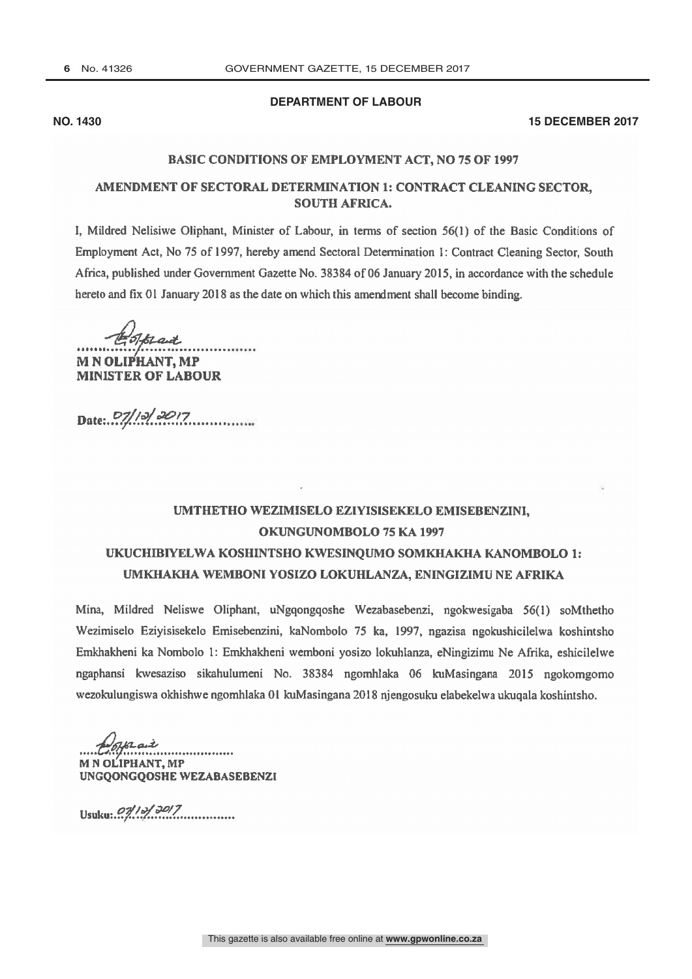#### **DEPARTMENT OF LABOUR**

#### **NO. 1430 15 DECEMBER 2017**

#### BASIC CONDITIONS OF EMPLOYMENT ACT, NO 75 OF 1997

#### AMENDMENT OF SECTORAL DETERMINATION 1: CONTRACT CLEANING SECTOR, SOUTH AFRICA.

I, Mildred Nelisiwe Oliphant, Minister of Labour, in terms of section 56(1) of the Basic Conditions of Employment Act, No 75 of 1997, hereby amend Sectoral Determination 1: Contract Cleaning Sector, South Africa, published under Government Gazette No. 38384 of 06 January 2015, in accordance with the schedule hereto and fix 01 January 2018 as the date on which this amendment shall become binding

51-BLant M N OLIPHANT, MP

MINISTER OF LABOUR

Date: 07/12/2017

# UMTHETHO WEZIMISELO EZIYISISEKELO EMISEBENZINI, OKUNGUNOMBOLO 75 KA 1997 UKUCHIBIYELWA KOSHINTSHO KWESINQUMO SOMKHAKHA KANOMBOLO 1: UMKHAKHA WEMBONI YOSIZO LOKUHLANZA, ENINGIZIMU NE AFRIKA

Mina, Mildred Neliswe Oliphant, uNgqongqoshe Wezabasebenzi, ngokwesigaba 56(1) soMthetho Wezimiselo Eziyisisekelo Emisebenzini, kallombolo 75 ka, 1997, ngazisa ngokushicilelwa koshintsho Emkhakheni ka Nombolo 1: Emkhakheni wemboni yosizo lokuhlanza, eNingizimu Ne Afrika, eshicilelwe ngaphansi kwesaziso sikahulumeni No. 38384 ngomhlaka 06 kuMasingana 2015 ngokomgomo wezokulungiswa okhishwe ngomhlaka 01 kuMasingana 2018 njengosuku elabekelwa ukugala koshintsho.

poppear M N OLIPHANT, MP UNGQONGQOSHE WEZABASEBENZI

Usuku: 07/12/2017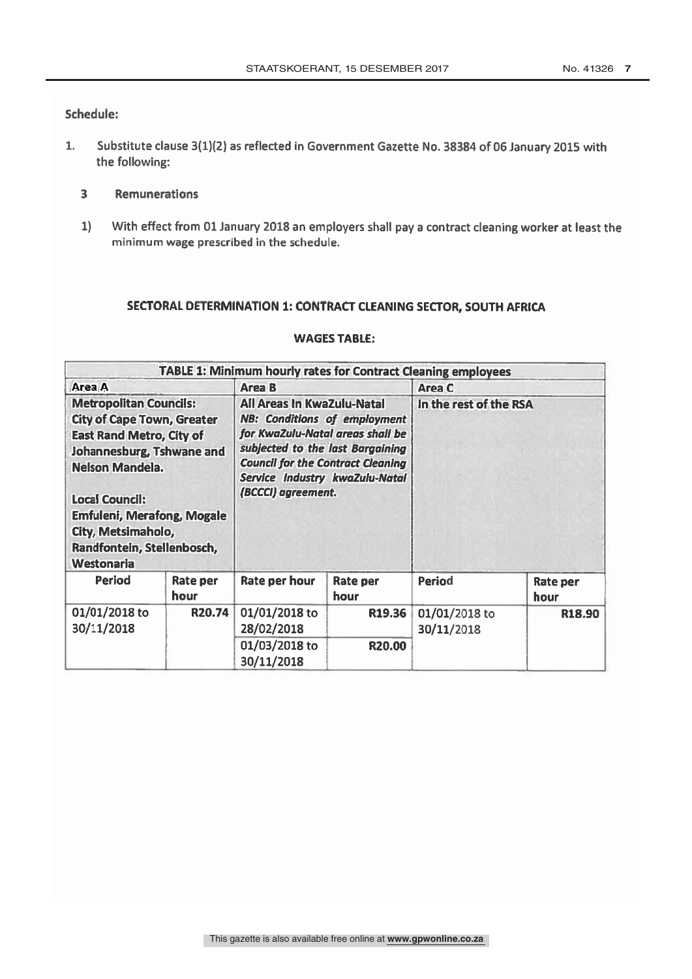Schedule:

- Substitute clause 3(1)(2) as reflected in Government Gazette No. 38384 of 06 January 2015 with  $1.$ the following:
	- $\overline{\mathbf{3}}$ **Remunerations**
	- $1)$ With effect from 01 January 2018 an employers shall pay a contract cleaning worker at least the minimum wage prescribed in the schedule.

#### SECTORAL DETERMINATION 1: CONTRACT CLEANING SECTOR, SOUTH AFRICA

### **WAGES TABLE:**

|                                                                                                                                                                                                                                                                                              |                  |                                                                                                                                                                                                        |                                     | TABLE 1: Minimum hourly rates for Contract Cleaning employees |                         |
|----------------------------------------------------------------------------------------------------------------------------------------------------------------------------------------------------------------------------------------------------------------------------------------------|------------------|--------------------------------------------------------------------------------------------------------------------------------------------------------------------------------------------------------|-------------------------------------|---------------------------------------------------------------|-------------------------|
| Area A                                                                                                                                                                                                                                                                                       |                  | Area B                                                                                                                                                                                                 |                                     | Area C                                                        |                         |
| <b>Metropolitan Councils:</b><br><b>City of Cape Town, Greater</b><br><b>East Rand Metro, City of</b><br>Johannesburg, Tshwane and<br><b>Nelson Mandela.</b><br><b>Local Council:</b><br><b>Emfuleni, Merafong, Mogale</b><br>City, Metsimaholo,<br>Randfontein, Stellenbosch,<br>Westonaria |                  | All Areas In KwaZulu-Natal<br>for KwaZulu-Natal areas shall be<br>subjected to the last Bargaining<br><b>Council for the Contract Cleaning</b><br>Service Industry kwaZulu-Natal<br>(BCCCI) agreement. | <b>NB: Conditions of employment</b> | In the rest of the RSA                                        |                         |
| Period                                                                                                                                                                                                                                                                                       | Rate per<br>hour | Rate per hour                                                                                                                                                                                          | Rate per<br>hour                    | <b>Period</b>                                                 | Rate per<br><b>hour</b> |
| 01/01/2018 to<br>30/11/2018                                                                                                                                                                                                                                                                  | <b>R20.74</b>    | 01/01/2018 to<br>28/02/2018                                                                                                                                                                            | R19.36                              | 01/01/2018 to<br>30/11/2018                                   | R18.90                  |
|                                                                                                                                                                                                                                                                                              |                  | 01/03/2018 to<br>30/11/2018                                                                                                                                                                            | <b>R20.00</b>                       |                                                               |                         |